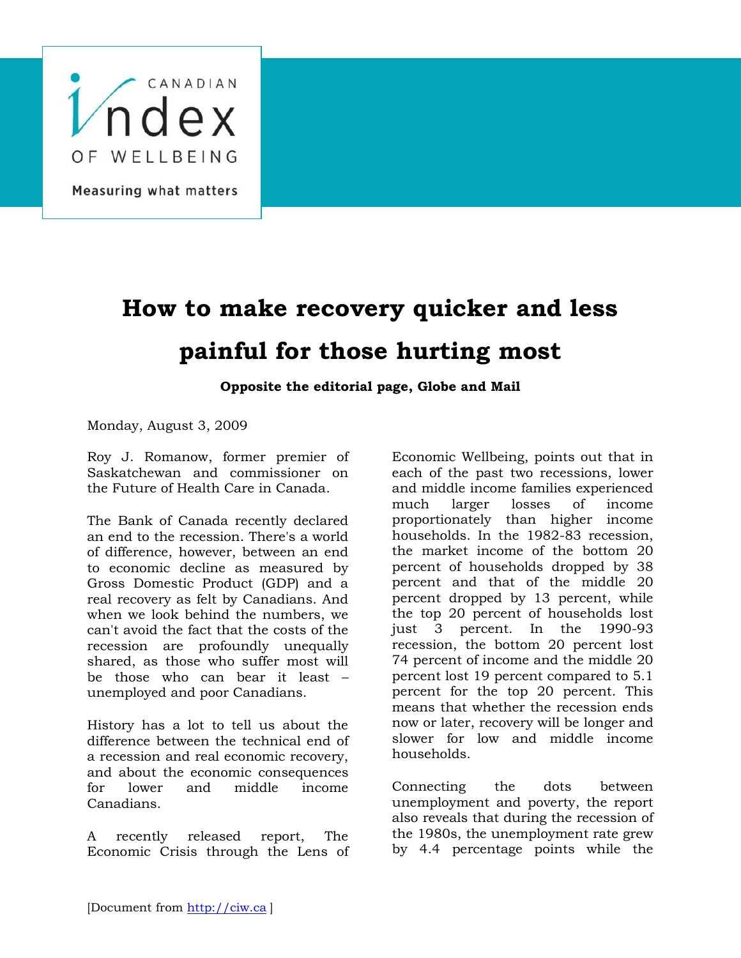

## **How to make recovery quicker and less painful for those hurting most**

**Opposite the editorial page, Globe and Mail**

Monday, August 3, 2009

Roy J. Romanow, former premier of Saskatchewan and commissioner on the Future of Health Care in Canada.

The Bank of Canada recently declared an end to the recession. There's a world of difference, however, between an end to economic decline as measured by Gross Domestic Product (GDP) and a real recovery as felt by Canadians. And when we look behind the numbers, we can't avoid the fact that the costs of the recession are profoundly unequally shared, as those who suffer most will be those who can bear it least – unemployed and poor Canadians.

History has a lot to tell us about the difference between the technical end of a recession and real economic recovery, and about the economic consequences for lower and middle income Canadians.

A recently released report, The Economic Crisis through the Lens of

Economic Wellbeing, points out that in each of the past two recessions, lower and middle income families experienced much larger losses of income proportionately than higher income households. In the 1982-83 recession, the market income of the bottom 20 percent of households dropped by 38 percent and that of the middle 20 percent dropped by 13 percent, while the top 20 percent of households lost just 3 percent. In the 1990-93 recession, the bottom 20 percent lost 74 percent of income and the middle 20 percent lost 19 percent compared to 5.1 percent for the top 20 percent. This means that whether the recession ends now or later, recovery will be longer and slower for low and middle income households.

Connecting the dots between unemployment and poverty, the report also reveals that during the recession of the 1980s, the unemployment rate grew by 4.4 percentage points while the